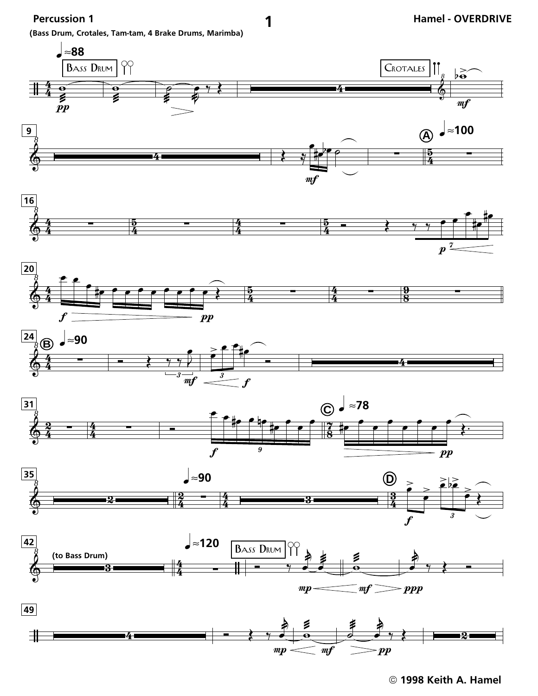Percussion 1

(Bass Drum, Crotales, Tam-tam, 4 Brake Drums, Marimba)



1

1998 Keith A. Hamel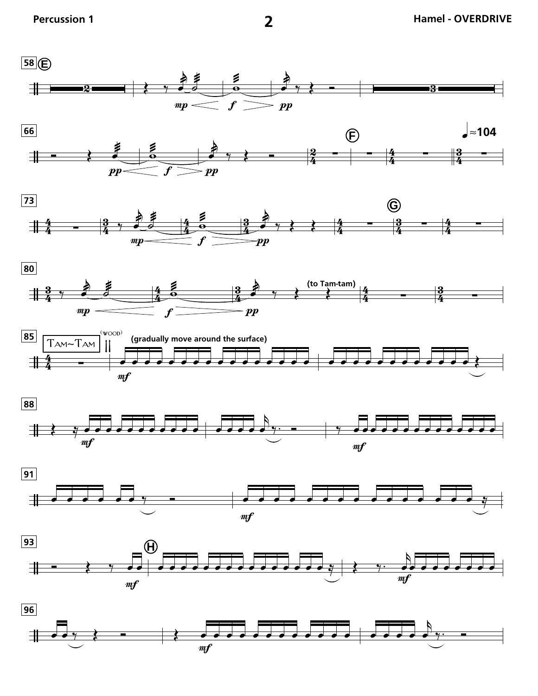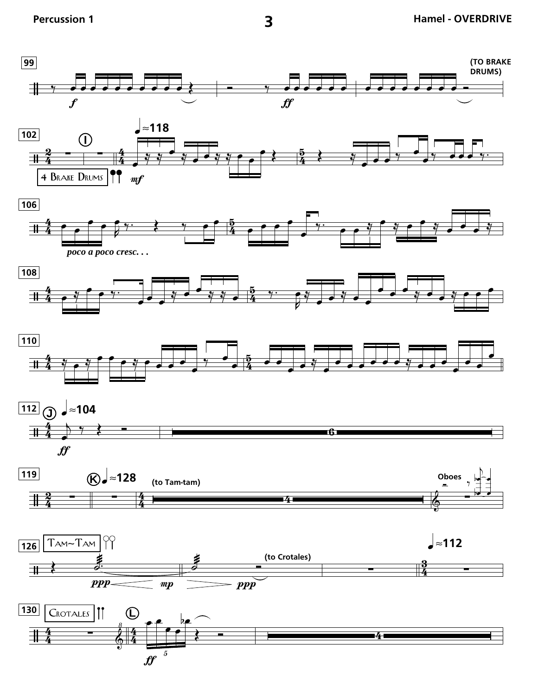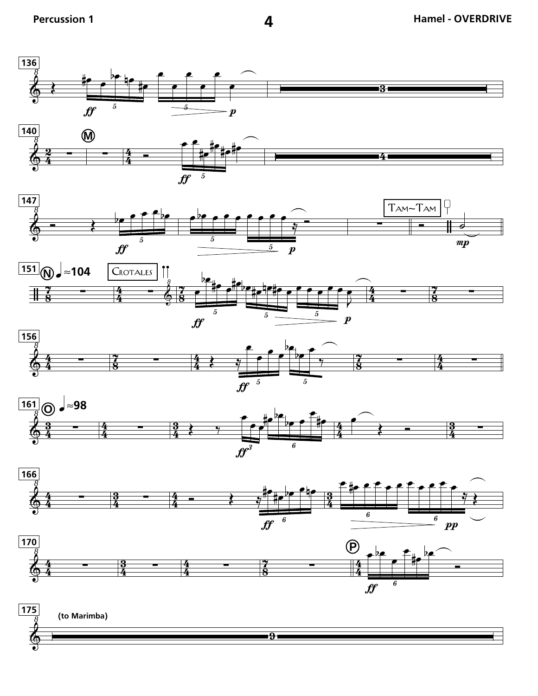

















4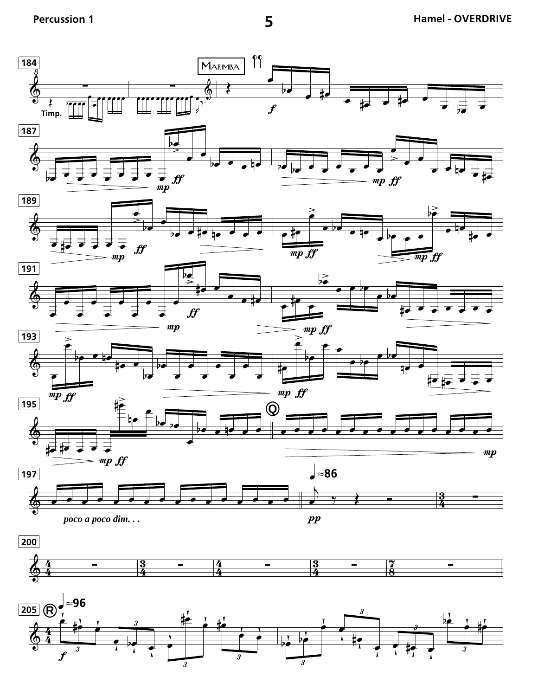

5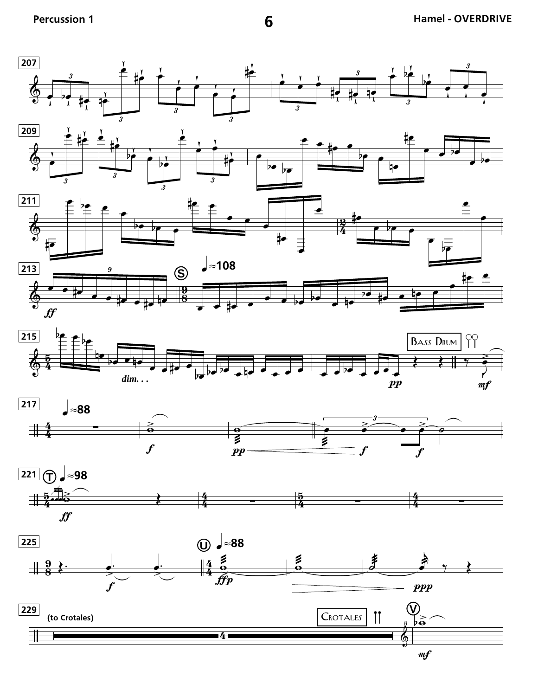